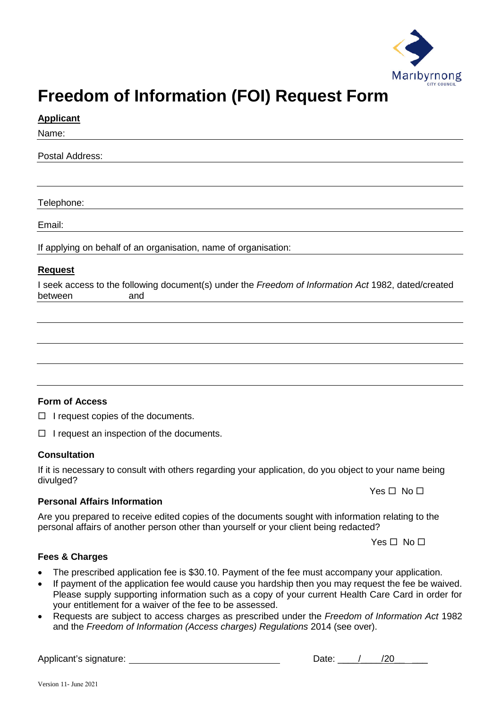

# **Freedom of Information (FOI) Request Form**

### **Applicant**

Name:

Postal Address:

Telephone:

Email:

If applying on behalf of an organisation, name of organisation:

### **Request**

I seek access to the following document(s) under the *Freedom of Information Act* 1982, dated/created between and

## **Form of Access**

 $\Box$  I request copies of the documents.

 $\Box$  I request an inspection of the documents.

#### **Consultation**

If it is necessary to consult with others regarding your application, do you object to your name being divulged?

**Personal Affairs Information**

Are you prepared to receive edited copies of the documents sought with information relating to the personal affairs of another person other than yourself or your client being redacted?

Yes  $\Pi$  No  $\Pi$ 

 $Yes \Box No \Box$ 

#### **Fees & Charges**

- The prescribed application fee is \$30.10. Payment of the fee must accompany your application.
- If payment of the application fee would cause you hardship then you may request the fee be waived. Please supply supporting information such as a copy of your current Health Care Card in order for your entitlement for a waiver of the fee to be assessed.
- Requests are subject to access charges as prescribed under the *Freedom of Information Act* 1982 and the *Freedom of Information (Access charges) Regulations* 2014 (see over).

Applicant's signature:  $\Box$  Date:  $\Box$  /20